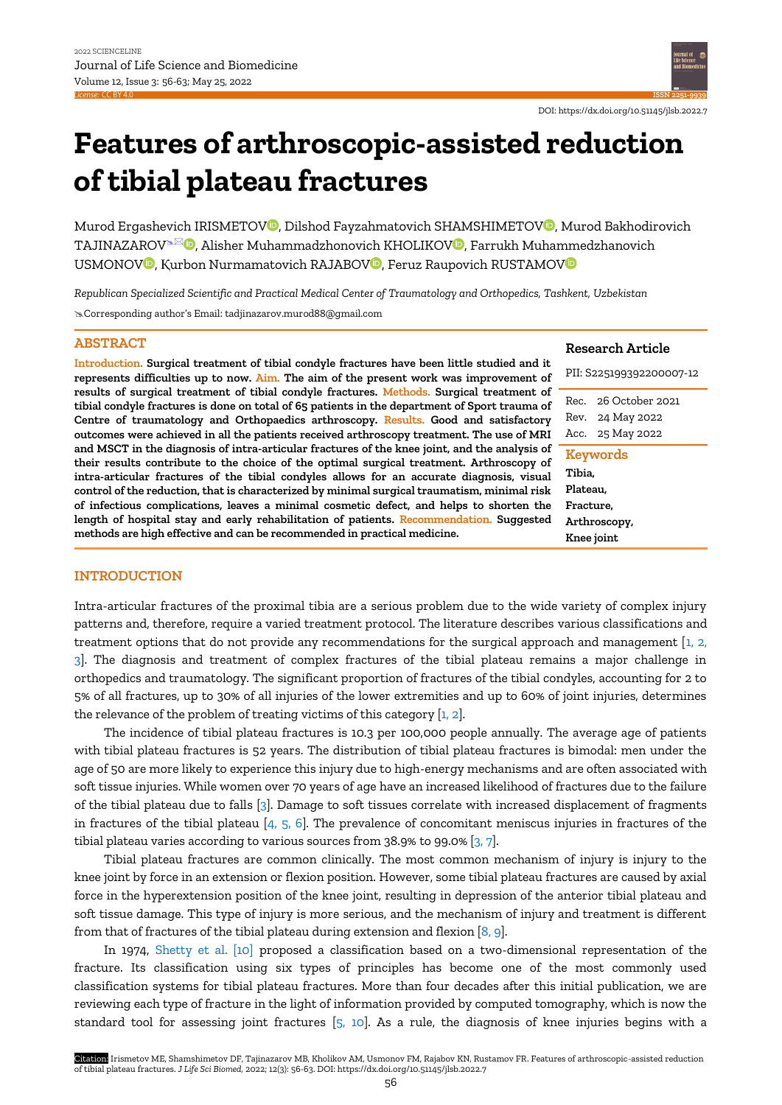

Murod Ergashevich IRISMETOV<sup>O</sup>, Dilshod Fayzahmatovich SHAMSHIMETOV<sup>O</sup>, Murod Bakhodirovich TAJINAZAROV<sup>& O</sup>, Alisher Muhammadzhonovich KHOLIKOV<sup>O</sup>, Farrukh Muhammedzhanovich USMONOV<sup>O</sup>, Kurbon Nurmamatovich RAJABOV<sup>O</sup>, Feruz Raupovich RUSTAMOVO

*Republican Specialized Scientific and Practical Medical Center of Traumatology and Orthopedics, Tashkent, Uzbekistan* Corresponding author's Email: [tadjinazarov.murod88@gmail.com](mailto:tadjinazarov.murod88@gmail.com)

# **ABSTRACT**

**Introduction. Surgical treatment of tibial condyle fractures have been little studied and it represents difficulties up to now. Aim. The aim of the present work was improvement of results of surgical treatment of tibial condyle fractures. Methods. Surgical treatment of tibial condyle fractures is done on total of 65 patients in the department of Sport trauma of Centre of traumatology and Orthopaedics arthroscopy. Results. Good and satisfactory outcomes were achieved in all the patients received arthroscopy treatment. The use of MRI and MSCT in the diagnosis of intra-articular fractures of the knee joint, and the analysis of their results contribute to the choice of the optimal surgical treatment. Arthroscopy of intra-articular fractures of the tibial condyles allows for an accurate diagnosis, visual control of the reduction, that is characterized by minimal surgical traumatism, minimal risk of infectious complications, leaves a minimal cosmetic defect, and helps to shorten the length of hospital stay and early rehabilitation of patients. Recommendation. Suggested methods are high effective and can be recommended in practical medicine.** 

#### **Research Article**

DOI: https://dx.doi.org/10.51145/jlsb.2022.7

**ISSN 2251-9939**

| PII: S225199392200007-12                                                  |                                                    |
|---------------------------------------------------------------------------|----------------------------------------------------|
| Rec.<br>Acc.                                                              | 26 October 2021<br>Rev. 24 May 2022<br>25 May 2022 |
| Keywords<br>Tibia,<br>Plateau.<br>Fracture,<br>Arthroscopy,<br>Knee joint |                                                    |

### **INTRODUCTION**

Intra-articular fractures of the proximal tibia are a serious problem due to the wide variety of complex injury patterns and, therefore, require a varied treatment protocol. The literature describes various classifications and treatment options that do not provide any recommendations for the surgical approach and management [\[1, 2,](#page-7-0)  [3\].](#page-7-0) The diagnosis and treatment of complex fractures of the tibial plateau remains a major challenge in orthopedics and traumatology. The significant proportion of fractures of the tibial condyles, accounting for 2 to 5% of all fractures, up to 30% of all injuries of the lower extremities and up to 60% of joint injuries, determines the relevance of the problem of treating victims of this category [\[1, 2\].](#page-7-0)

The incidence of tibial plateau fractures is 10.3 per 100,000 people annually. The average age of patients with tibial plateau fractures is 52 years. The distribution of tibial plateau fractures is bimodal: men under the age of 50 are more likely to experience this injury due to high-energy mechanisms and are often associated with soft tissue injuries. While women over 70 years of age have an increased likelihood of fractures due to the failure of the tibial plateau due to falls [\[3\].](#page-7-0) Damage to soft tissues correlate with increased displacement of fragments in fractures of the tibial plateau  $[4, 5, 6]$ . The prevalence of concomitant meniscus injuries in fractures of the tibial plateau varies according to various sources from 38.9% to 99.0% [\[3, 7\].](#page-7-0)

Tibial plateau fractures are common clinically. The most common mechanism of injury is injury to the knee joint by force in an extension or flexion position. However, some tibial plateau fractures are caused by axial force in the hyperextension position of the knee joint, resulting in depression of the anterior tibial plateau and soft tissue damage. This type of injury is more serious, and the mechanism of injury and treatment is different from that of fractures of the tibial plateau during extension and flexion  $[8, 9]$ .

In 1974, [Shetty et al. \[10\]](#page-7-0) proposed a classification based on a two-dimensional representation of the fracture. Its classification using six types of principles has become one of the most commonly used classification systems for tibial plateau fractures. More than four decades after this initial publication, we are reviewing each type of fracture in the light of information provided by computed tomography, which is now the standard tool for assessing joint fractures [\[5, 10\].](#page-7-0) As a rule, the diagnosis of knee injuries begins with a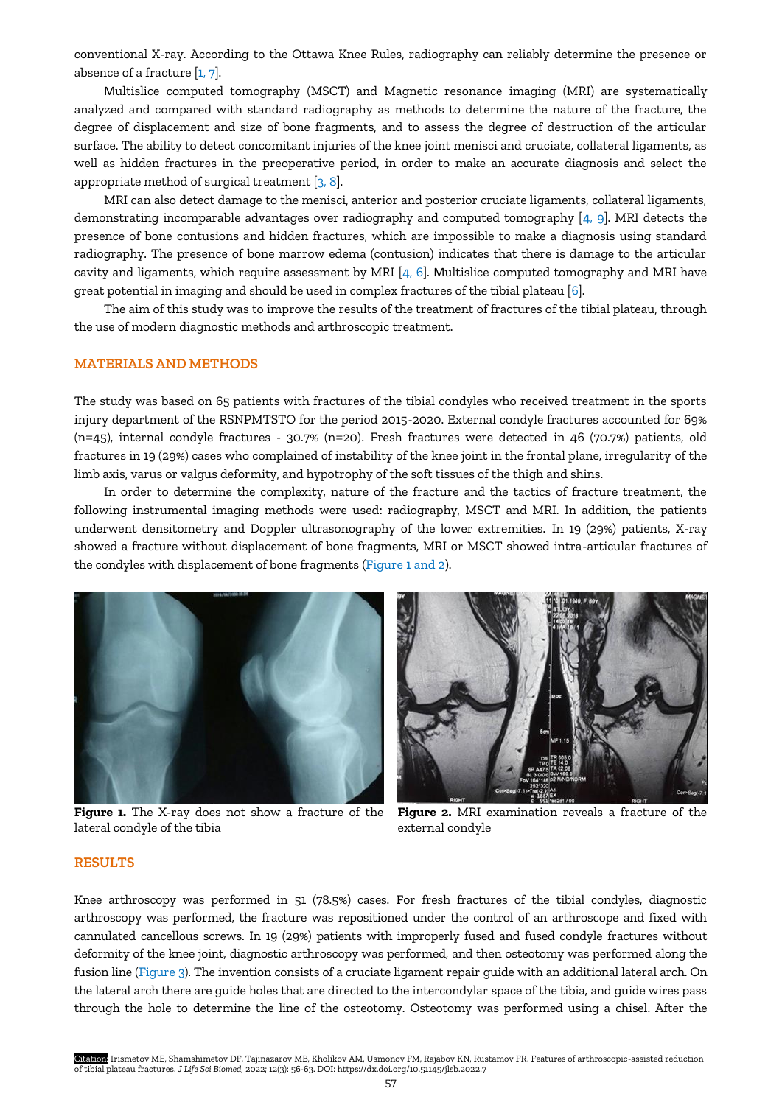conventional X-ray. According to the Ottawa Knee Rules, radiography can reliably determine the presence or absence of a fracture  $[1, 7]$ .

Multislice computed tomography (MSCT) and Magnetic resonance imaging (MRI) are systematically analyzed and compared with standard radiography as methods to determine the nature of the fracture, the degree of displacement and size of bone fragments, and to assess the degree of destruction of the articular surface. The ability to detect concomitant injuries of the knee joint menisci and cruciate, collateral ligaments, as well as hidden fractures in the preoperative period, in order to make an accurate diagnosis and select the appropriate method of surgical treatment [\[3, 8\].](#page-7-0)

MRI can also detect damage to the menisci, anterior and posterior cruciate ligaments, collateral ligaments, demonstrating incomparable advantages over radiography and computed tomography [\[4, 9\].](#page-7-0) MRI detects the presence of bone contusions and hidden fractures, which are impossible to make a diagnosis using standard radiography. The presence of bone marrow edema (contusion) indicates that there is damage to the articular cavity and ligaments, which require assessment by MRI  $[4, 6]$ . Multislice computed tomography and MRI have great potential in imaging and should be used in complex fractures of the tibial plateau [\[6\].](#page-7-0)

The aim of this study was to improve the results of the treatment of fractures of the tibial plateau, through the use of modern diagnostic methods and arthroscopic treatment.

## **MATERIALS AND METHODS**

The study was based on 65 patients with fractures of the tibial condyles who received treatment in the sports injury department of the RSNPMTSTO for the period 2015-2020. External condyle fractures accounted for 69% (n=45), internal condyle fractures - 30.7% (n=20). Fresh fractures were detected in 46 (70.7%) patients, old fractures in 19 (29%) cases who complained of instability of the knee joint in the frontal plane, irregularity of the limb axis, varus or valgus deformity, and hypotrophy of the soft tissues of the thigh and shins.

In order to determine the complexity, nature of the fracture and the tactics of fracture treatment, the following instrumental imaging methods were used: radiography, MSCT and MRI. In addition, the patients underwent densitometry and Doppler ultrasonography of the lower extremities. In 19 (29%) patients, X-ray showed a fracture without displacement of bone fragments, MRI or MSCT showed intra-articular fractures of the condyles with displacement of bone fragments (Figure 1 and 2).



lateral condyle of the tibia



**Figure 1.** The X-ray does not show a fracture of the **Figure 2.** MRI examination reveals a fracture of the external condyle

#### **RESULTS**

Knee arthroscopy was performed in 51 (78.5%) cases. For fresh fractures of the tibial condyles, diagnostic arthroscopy was performed, the fracture was repositioned under the control of an arthroscope and fixed with cannulated cancellous screws. In 19 (29%) patients with improperly fused and fused condyle fractures without deformity of the knee joint, diagnostic arthroscopy was performed, and then osteotomy was performed along the fusion line (Figure 3). The invention consists of a cruciate ligament repair guide with an additional lateral arch. On the lateral arch there are guide holes that are directed to the intercondylar space of the tibia, and guide wires pass through the hole to determine the line of the osteotomy. Osteotomy was performed using a chisel. After the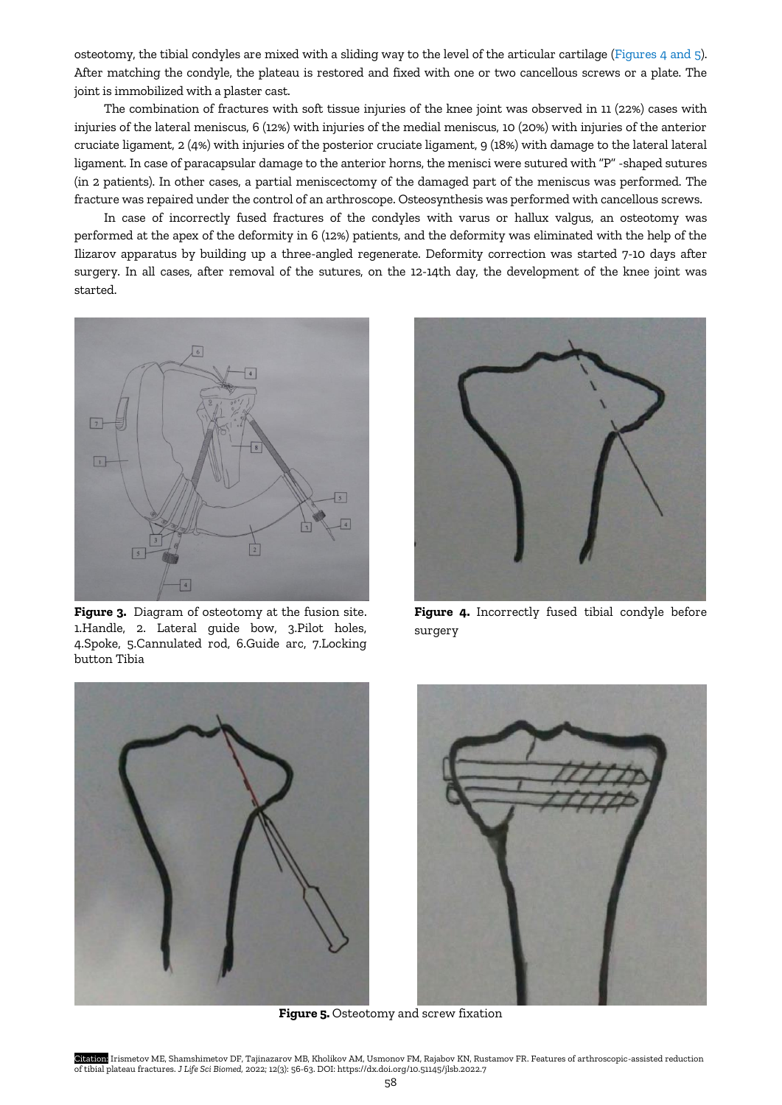osteotomy, the tibial condyles are mixed with a sliding way to the level of the articular cartilage (Figures 4 and 5). After matching the condyle, the plateau is restored and fixed with one or two cancellous screws or a plate. The joint is immobilized with a plaster cast.

The combination of fractures with soft tissue injuries of the knee joint was observed in 11 (22%) cases with injuries of the lateral meniscus, 6 (12%) with injuries of the medial meniscus, 10 (20%) with injuries of the anterior cruciate ligament, 2 (4%) with injuries of the posterior cruciate ligament, 9 (18%) with damage to the lateral lateral ligament. In case of paracapsular damage to the anterior horns, the menisci were sutured with "P" -shaped sutures (in 2 patients). In other cases, a partial meniscectomy of the damaged part of the meniscus was performed. The fracture was repaired under the control of an arthroscope. Osteosynthesis was performed with cancellous screws.

In case of incorrectly fused fractures of the condyles with varus or hallux valgus, an osteotomy was performed at the apex of the deformity in 6 (12%) patients, and the deformity was eliminated with the help of the Ilizarov apparatus by building up a three-angled regenerate. Deformity correction was started 7-10 days after surgery. In all cases, after removal of the sutures, on the 12-14th day, the development of the knee joint was started.



**Figure 3.** Diagram of osteotomy at the fusion site. 1.Handle, 2. Lateral guide bow, 3.Pilot holes, 4.Spoke, 5.Cannulated rod, 6.Guide arc, 7.Locking button Tibia



**Figure 4.** Incorrectly fused tibial condyle before surgery





**Figure 5.** Osteotomy and screw fixation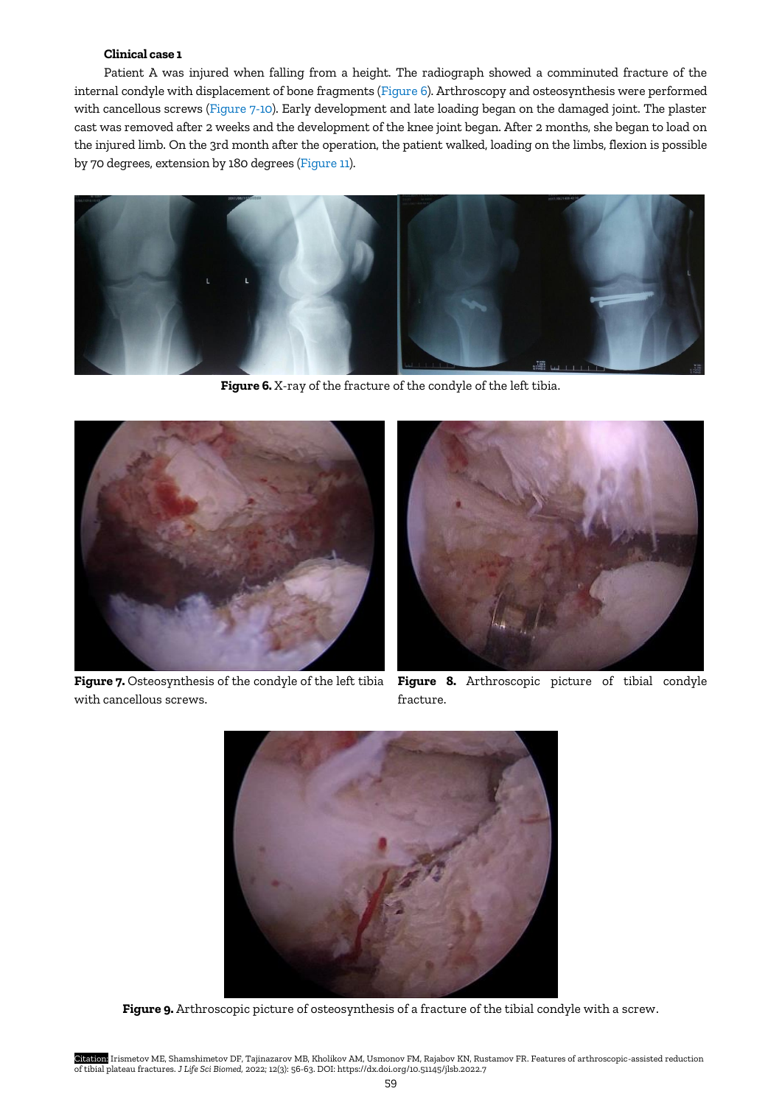# **Clinical case 1**

Patient A was injured when falling from a height. The radiograph showed a comminuted fracture of the internal condyle with displacement of bone fragments (Figure 6). Arthroscopy and osteosynthesis were performed with cancellous screws (Figure 7-10). Early development and late loading began on the damaged joint. The plaster cast was removed after 2 weeks and the development of the knee joint began. After 2 months, she began to load on the injured limb. On the 3rd month after the operation, the patient walked, loading on the limbs, flexion is possible by 70 degrees, extension by 180 degrees (Figure 11).



**Figure 6.** X-ray of the fracture of the condyle of the left tibia.



**Figure 7.** Osteosynthesis of the condyle of the left tibia **Figure 8.** Arthroscopic picture of tibial condyle with cancellous screws.



fracture.



**Figure 9.** Arthroscopic picture of osteosynthesis of a fracture of the tibial condyle with a screw.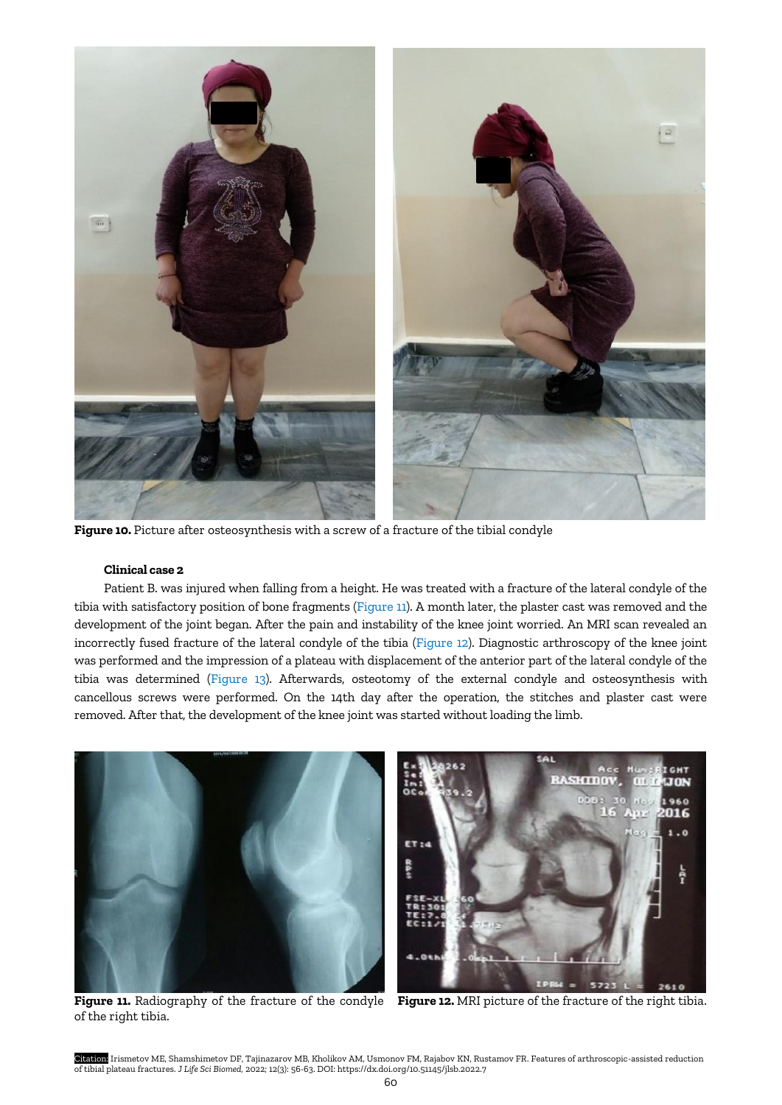

**Figure 10.** Picture after osteosynthesis with a screw of a fracture of the tibial condyle

# **Clinical case 2**

Patient B. was injured when falling from a height. He was treated with a fracture of the lateral condyle of the tibia with satisfactory position of bone fragments (Figure 11). A month later, the plaster cast was removed and the development of the joint began. After the pain and instability of the knee joint worried. An MRI scan revealed an incorrectly fused fracture of the lateral condyle of the tibia (Figure 12). Diagnostic arthroscopy of the knee joint was performed and the impression of a plateau with displacement of the anterior part of the lateral condyle of the tibia was determined (Figure 13). Afterwards, osteotomy of the external condyle and osteosynthesis with cancellous screws were performed. On the 14th day after the operation, the stitches and plaster cast were removed. After that, the development of the knee joint was started without loading the limb.



of the right tibia.

**Figure 11.** Radiography of the fracture of the condyle **Figure 12.** MRI picture of the fracture of the right tibia.

Citation: Irismetov ME, Shamshimetov DF, Tajinazarov MB, Kholikov AM, Usmonov FM, Rajabov KN, Rustamov FR. Features of arthroscopic-assisted reduction of tibial plateau fractures. *J Life Sci Biomed,* 2022; 12(3): 56-63. DOI: https://dx.doi.org/10.51145/jlsb.2022.7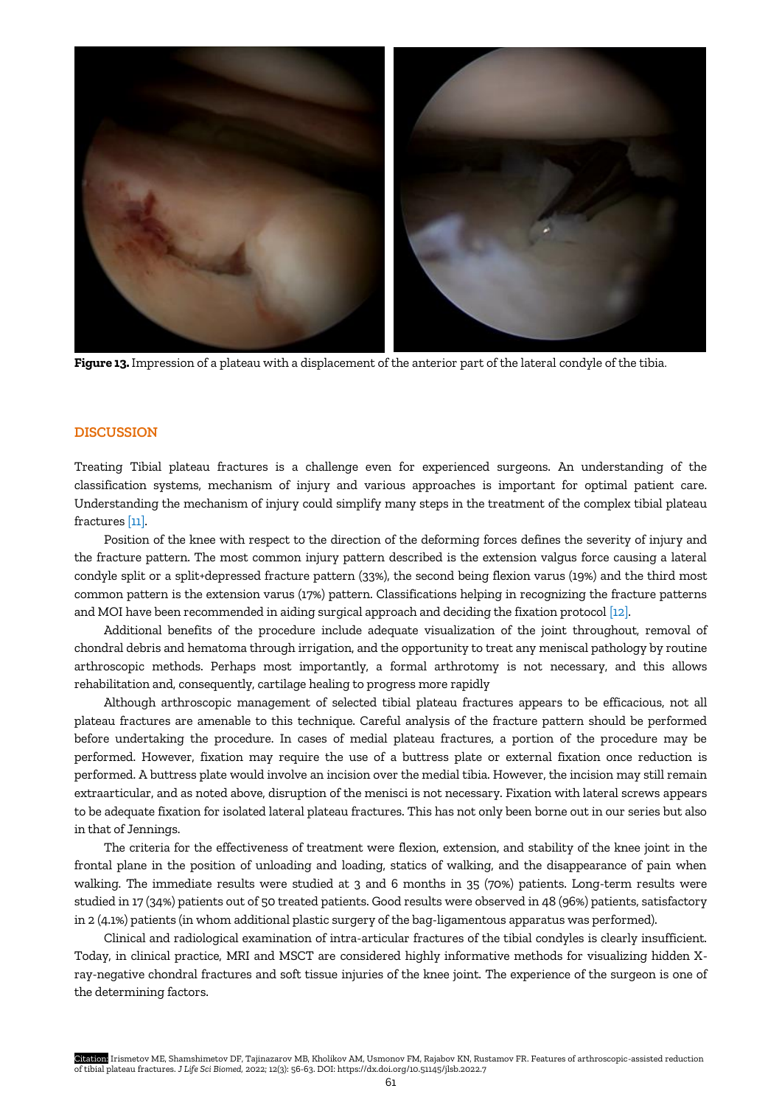

**Figure 13.** Impression of a plateau with a displacement of the anterior part of the lateral condyle of the tibia.

### **DISCUSSION**

Treating Tibial plateau fractures is a challenge even for experienced surgeons. An understanding of the classification systems, mechanism of injury and various approaches is important for optimal patient care. Understanding the mechanism of injury could simplify many steps in the treatment of the complex tibial plateau fractures [\[11\]](#page-7-0).

Position of the knee with respect to the direction of the deforming forces defines the severity of injury and the fracture pattern. The most common injury pattern described is the extension valgus force causing a lateral condyle split or a split+depressed fracture pattern (33%), the second being flexion varus (19%) and the third most common pattern is the extension varus (17%) pattern. Classifications helping in recognizing the fracture patterns and MOI have been recommended in aiding surgical approach and deciding the fixation protocol [\[12\].](#page-7-0)

Additional benefits of the procedure include adequate visualization of the joint throughout, removal of chondral debris and hematoma through irrigation, and the opportunity to treat any meniscal pathology by routine arthroscopic methods. Perhaps most importantly, a formal arthrotomy is not necessary, and this allows rehabilitation and, consequently, cartilage healing to progress more rapidly

Although arthroscopic management of selected tibial plateau fractures appears to be efficacious, not all plateau fractures are amenable to this technique. Careful analysis of the fracture pattern should be performed before undertaking the procedure. In cases of medial plateau fractures, a portion of the procedure may be performed. However, fixation may require the use of a buttress plate or external fixation once reduction is performed. A buttress plate would involve an incision over the medial tibia. However, the incision may still remain extraarticular, and as noted above, disruption of the menisci is not necessary. Fixation with lateral screws appears to be adequate fixation for isolated lateral plateau fractures. This has not only been borne out in our series but also in that of Jennings.

The criteria for the effectiveness of treatment were flexion, extension, and stability of the knee joint in the frontal plane in the position of unloading and loading, statics of walking, and the disappearance of pain when walking. The immediate results were studied at 3 and 6 months in 35 (70%) patients. Long-term results were studied in 17 (34%) patients out of 50 treated patients. Good results were observed in 48 (96%) patients, satisfactory in 2 (4.1%) patients (in whom additional plastic surgery of the bag-ligamentous apparatus was performed).

Clinical and radiological examination of intra-articular fractures of the tibial condyles is clearly insufficient. Today, in clinical practice, MRI and MSCT are considered highly informative methods for visualizing hidden Xray-negative chondral fractures and soft tissue injuries of the knee joint. The experience of the surgeon is one of the determining factors.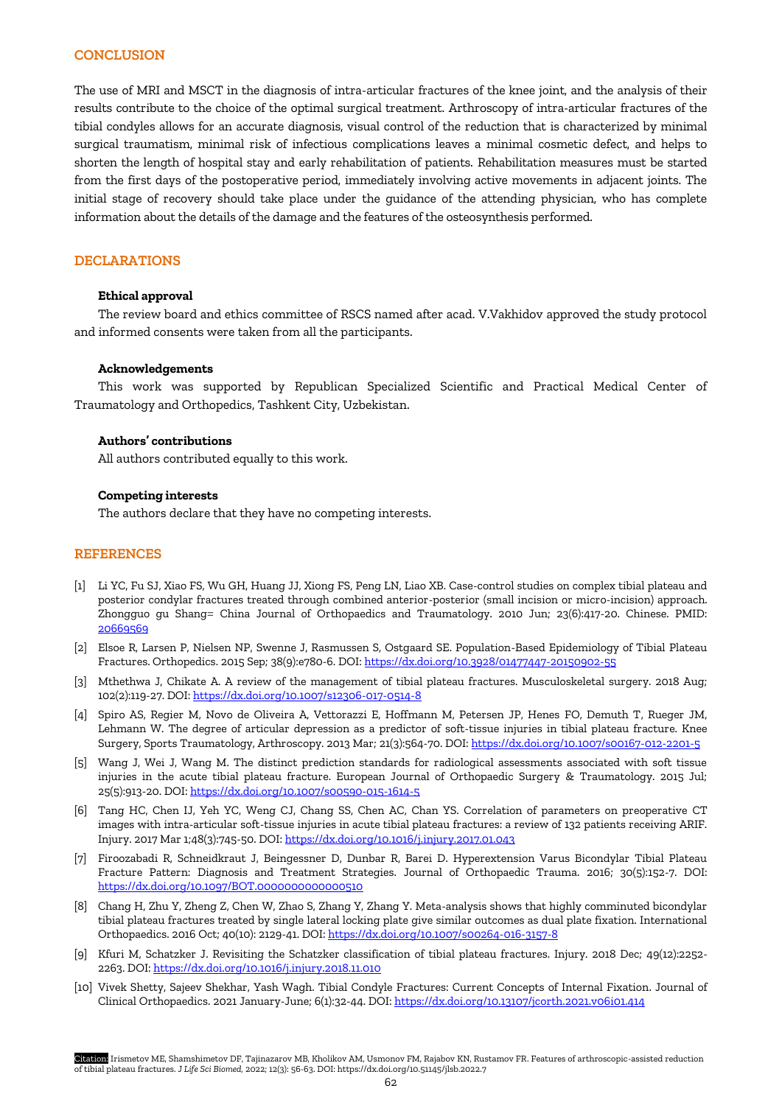## **CONCLUSION**

The use of MRI and MSCT in the diagnosis of intra-articular fractures of the knee joint, and the analysis of their results contribute to the choice of the optimal surgical treatment. Arthroscopy of intra-articular fractures of the tibial condyles allows for an accurate diagnosis, visual control of the reduction that is characterized by minimal surgical traumatism, minimal risk of infectious complications leaves a minimal cosmetic defect, and helps to shorten the length of hospital stay and early rehabilitation of patients. Rehabilitation measures must be started from the first days of the postoperative period, immediately involving active movements in adjacent joints. The initial stage of recovery should take place under the guidance of the attending physician, who has complete information about the details of the damage and the features of the osteosynthesis performed.

## **DECLARATIONS**

### **Ethical approval**

The review board and ethics committee of RSCS named after acad. V.Vakhidov approved the study protocol and informed consents were taken from all the participants.

### **Acknowledgements**

This work was supported by Republican Specialized Scientific and Practical Medical Center of Traumatology and Orthopedics, Tashkent City, Uzbekistan.

### **Authors' contributions**

All authors contributed equally to this work.

### **Competing interests**

The authors declare that they have no competing interests.

### **REFERENCES**

- [1] Li YC, Fu SJ, Xiao FS, Wu GH, Huang JJ, Xiong FS, Peng LN, Liao XB. Case-control studies on complex tibial plateau and posterior condylar fractures treated through combined anterior-posterior (small incision or micro-incision) approach. Zhongguo gu Shang= China Journal of Orthopaedics and Traumatology. 2010 Jun; 23(6):417-20. Chinese. PMID: [20669569](https://europepmc.org/article/med/20669569)
- [2] Elsoe R, Larsen P, Nielsen NP, Swenne J, Rasmussen S, Ostgaard SE. Population-Based Epidemiology of Tibial Plateau Fractures. Orthopedics. 2015 Sep; 38(9):e780-6. DOI[: https://dx.doi.org/10.3928/01477447-20150902-55](https://dx.doi.org/10.3928/01477447-20150902-55)
- [3] Mthethwa J, Chikate A. A review of the management of tibial plateau fractures. Musculoskeletal surgery. 2018 Aug; 102(2):119-27. DOI[: https://dx.doi.org/10.1007/s12306-017-0514-8](https://dx.doi.org/10.1007/s12306-017-0514-8)
- [4] Spiro AS, Regier M, Novo de Oliveira A, Vettorazzi E, Hoffmann M, Petersen JP, Henes FO, Demuth T, Rueger JM, Lehmann W. The degree of articular depression as a predictor of soft-tissue injuries in tibial plateau fracture. Knee Surgery, Sports Traumatology, Arthroscopy. 2013 Mar; 21(3):564-70. DOI:<https://dx.doi.org/10.1007/s00167-012-2201-5>
- [5] Wang J, Wei J, Wang M. The distinct prediction standards for radiological assessments associated with soft tissue injuries in the acute tibial plateau fracture. European Journal of Orthopaedic Surgery & Traumatology. 2015 Jul; 25(5):913-20. DOI:<https://dx.doi.org/10.1007/s00590-015-1614-5>
- [6] Tang HC, Chen IJ, Yeh YC, Weng CJ, Chang SS, Chen AC, Chan YS. Correlation of parameters on preoperative CT images with intra-articular soft-tissue injuries in acute tibial plateau fractures: a review of 132 patients receiving ARIF. Injury. 2017 Mar 1;48(3):745-50. DOI[: https://dx.doi.org/10.1016/j.injury.2017.01.043](https://dx.doi.org/10.1016/j.injury.2017.01.043)
- [7] Firoozabadi R, Schneidkraut J, Beingessner D, Dunbar R, Barei D. Hyperextension Varus Bicondylar Tibial Plateau Fracture Pattern: Diagnosis and Treatment Strategies. Journal of Orthopaedic Trauma. 2016; 30(5):152-7. DOI: <https://dx.doi.org/10.1097/BOT.0000000000000510>
- [8] Chang H, Zhu Y, Zheng Z, Chen W, Zhao S, Zhang Y, Zhang Y. Meta-analysis shows that highly comminuted bicondylar tibial plateau fractures treated by single lateral locking plate give similar outcomes as dual plate fixation. International Orthopaedics. 2016 Oct; 40(10): 2129-41. DOI:<https://dx.doi.org/10.1007/s00264-016-3157-8>
- [9] Kfuri M, Schatzker J. Revisiting the Schatzker classification of tibial plateau fractures. Injury. 2018 Dec; 49(12):2252- 2263. DOI:<https://dx.doi.org/10.1016/j.injury.2018.11.010>
- [10] Vivek Shetty, Sajeev Shekhar, Yash Wagh. Tibial Condyle Fractures: Current Concepts of Internal Fixation. Journal of Clinical Orthopaedics. 2021 January-June; 6(1):32-44. DOI[: https://dx.doi.org/10.13107/jcorth.2021.v06i01.414](https://dx.doi.org/10.13107/jcorth.2021.v06i01.414)